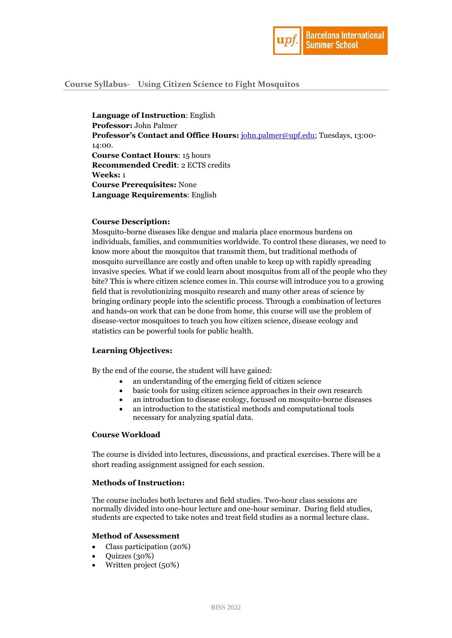

# **Course Syllabus- Using Citizen Science to Fight Mosquitos**

**Language of Instruction**: English **Professor:** John Palmer **Professor's Contact and Office Hours:** [john.palmer@upf.edu;](mailto:john.palmer@upf.edu) Tuesdays, 13:00- 14:00. **Course Contact Hours**: 15 hours **Recommended Credit**: 2 ECTS credits **Weeks:** 1 **Course Prerequisites:** None **Language Requirements**: English

### **Course Description:**

Mosquito-borne diseases like dengue and malaria place enormous burdens on individuals, families, and communities worldwide. To control these diseases, we need to know more about the mosquitos that transmit them, but traditional methods of mosquito surveillance are costly and often unable to keep up with rapidly spreading invasive species. What if we could learn about mosquitos from all of the people who they bite? This is where citizen science comes in. This course will introduce you to a growing field that is revolutionizing mosquito research and many other areas of science by bringing ordinary people into the scientific process. Through a combination of lectures and hands-on work that can be done from home, this course will use the problem of disease-vector mosquitoes to teach you how citizen science, disease ecology and statistics can be powerful tools for public health.

### **Learning Objectives:**

By the end of the course, the student will have gained:

- an understanding of the emerging field of citizen science
- basic tools for using citizen science approaches in their own research
- an introduction to disease ecology, focused on mosquito-borne diseases
- an introduction to the statistical methods and computational tools necessary for analyzing spatial data.

#### **Course Workload**

The course is divided into lectures, discussions, and practical exercises. There will be a short reading assignment assigned for each session.

#### **Methods of Instruction:**

The course includes both lectures and field studies. Two-hour class sessions are normally divided into one-hour lecture and one-hour seminar. During field studies, students are expected to take notes and treat field studies as a normal lecture class.

#### **Method of Assessment**

- Class participation (20%)
- Quizzes (30%)
- Written project (50%)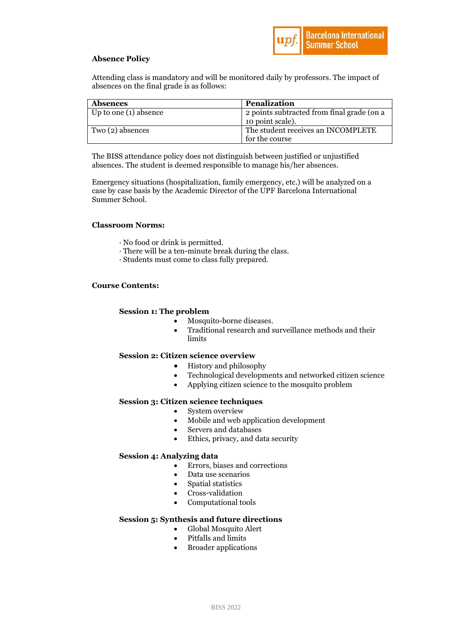

# **Absence Policy**

Attending class is mandatory and will be monitored daily by professors. The impact of absences on the final grade is as follows:

| <b>Absences</b>       | <b>Penalization</b>                        |
|-----------------------|--------------------------------------------|
| Up to one (1) absence | 2 points subtracted from final grade (on a |
|                       | 10 point scale).                           |
| Two (2) absences      | The student receives an INCOMPLETE         |
|                       | for the course                             |

The BISS attendance policy does not distinguish between justified or unjustified absences. The student is deemed responsible to manage his/her absences.

Emergency situations (hospitalization, family emergency, etc.) will be analyzed on a case by case basis by the Academic Director of the UPF Barcelona International Summer School.

## **Classroom Norms:**

- · No food or drink is permitted.
- · There will be a ten-minute break during the class.
- · Students must come to class fully prepared.

# **Course Contents:**

## **Session 1: The problem**

- Mosquito-borne diseases.
- Traditional research and surveillance methods and their limits

### **Session 2: Citizen science overview**

- History and philosophy
- Technological developments and networked citizen science
- Applying citizen science to the mosquito problem

# **Session 3: Citizen science techniques**

- System overview
- Mobile and web application development
- Servers and databases
- Ethics, privacy, and data security

# **Session 4: Analyzing data**

- Errors, biases and corrections
- Data use scenarios
- Spatial statistics
- Cross-validation
- Computational tools

### **Session 5: Synthesis and future directions**

- Global Mosquito Alert
- Pitfalls and limits
- Broader applications